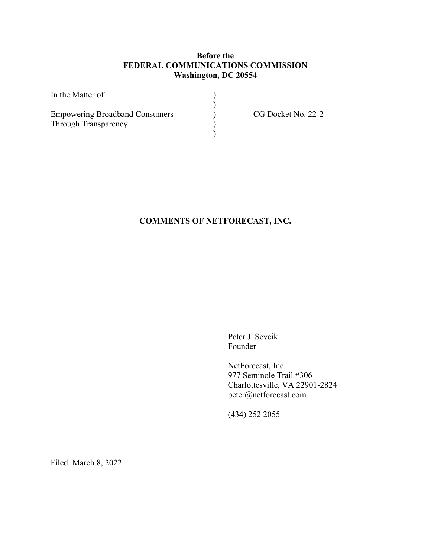# **Before the FEDERAL COMMUNICATIONS COMMISSION Washington, DC 20554**

| In the Matter of                      |  |
|---------------------------------------|--|
|                                       |  |
| <b>Empowering Broadband Consumers</b> |  |
| <b>Through Transparency</b>           |  |
|                                       |  |

Docket No. 22-2

# **COMMENTS OF NETFORECAST, INC.**

Peter J. Sevcik Founder

NetForecast, Inc. 977 Seminole Trail #306 Charlottesville, VA 22901-2824 peter@netforecast.com

(434) 252 2055

Filed: March 8, 2022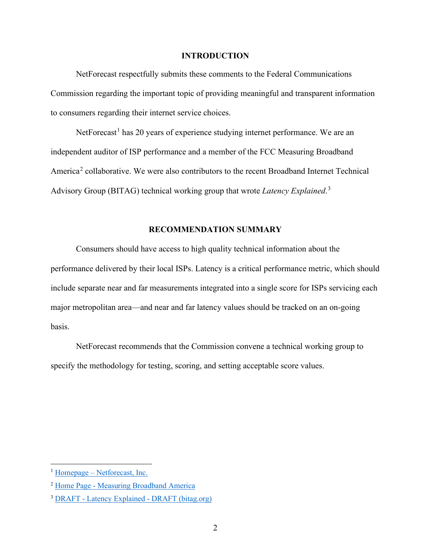# **INTRODUCTION**

NetForecast respectfully submits these comments to the Federal Communications Commission regarding the important topic of providing meaningful and transparent information to consumers regarding their internet service choices.

NetForecast<sup>[1](#page-1-0)</sup> has 20 years of experience studying internet performance. We are an independent auditor of ISP performance and a member of the FCC Measuring Broadband America<sup>[2](#page-1-1)</sup> collaborative. We were also contributors to the recent Broadband Internet Technical Advisory Group (BITAG) technical working group that wrote *Latency Explained*. [3](#page-1-2)

# **RECOMMENDATION SUMMARY**

Consumers should have access to high quality technical information about the performance delivered by their local ISPs. Latency is a critical performance metric, which should include separate near and far measurements integrated into a single score for ISPs servicing each major metropolitan area—and near and far latency values should be tracked on an on-going basis.

NetForecast recommends that the Commission convene a technical working group to specify the methodology for testing, scoring, and setting acceptable score values.

<span id="page-1-0"></span><sup>1</sup> Homepage – [Netforecast, Inc.](https://www.netforecast.com/)

<span id="page-1-1"></span><sup>2</sup> Home Page - [Measuring Broadband America](https://www.measuringbroadbandamerica.com/)

<span id="page-1-2"></span><sup>3</sup> DRAFT - [Latency Explained -](https://www.bitag.org/documents/BITAG_latency_explained.pdf) DRAFT (bitag.org)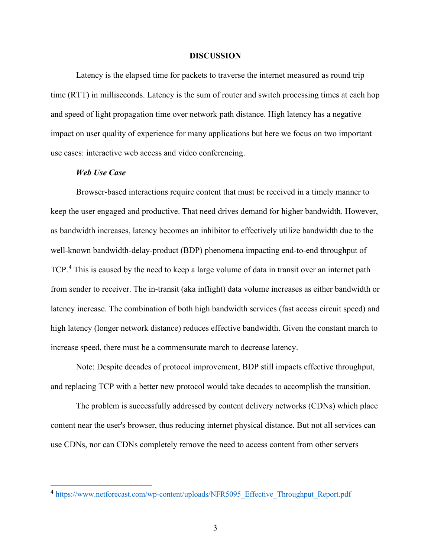#### **DISCUSSION**

Latency is the elapsed time for packets to traverse the internet measured as round trip time (RTT) in milliseconds. Latency is the sum of router and switch processing times at each hop and speed of light propagation time over network path distance. High latency has a negative impact on user quality of experience for many applications but here we focus on two important use cases: interactive web access and video conferencing.

## *Web Use Case*

Browser-based interactions require content that must be received in a timely manner to keep the user engaged and productive. That need drives demand for higher bandwidth. However, as bandwidth increases, latency becomes an inhibitor to effectively utilize bandwidth due to the well-known bandwidth-delay-product (BDP) phenomena impacting end-to-end throughput of TCP.<sup>[4](#page-2-0)</sup> This is caused by the need to keep a large volume of data in transit over an internet path from sender to receiver. The in-transit (aka inflight) data volume increases as either bandwidth or latency increase. The combination of both high bandwidth services (fast access circuit speed) and high latency (longer network distance) reduces effective bandwidth. Given the constant march to increase speed, there must be a commensurate march to decrease latency.

Note: Despite decades of protocol improvement, BDP still impacts effective throughput, and replacing TCP with a better new protocol would take decades to accomplish the transition.

The problem is successfully addressed by content delivery networks (CDNs) which place content near the user's browser, thus reducing internet physical distance. But not all services can use CDNs, nor can CDNs completely remove the need to access content from other servers

<span id="page-2-0"></span><sup>4</sup> [https://www.netforecast.com/wp-content/uploads/NFR5095\\_Effective\\_Throughput\\_Report.pdf](https://www.netforecast.com/wp-content/uploads/NFR5095_Effective_Throughput_Report.pdf)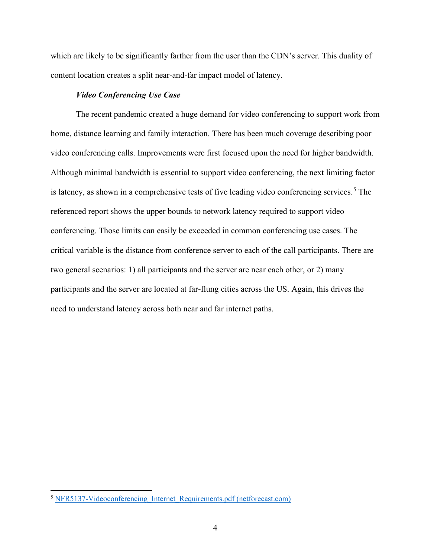which are likely to be significantly farther from the user than the CDN's server. This duality of content location creates a split near-and-far impact model of latency.

### *Video Conferencing Use Case*

The recent pandemic created a huge demand for video conferencing to support work from home, distance learning and family interaction. There has been much coverage describing poor video conferencing calls. Improvements were first focused upon the need for higher bandwidth. Although minimal bandwidth is essential to support video conferencing, the next limiting factor is latency, as shown in a comprehensive tests of five leading video conferencing services.<sup>[5](#page-3-0)</sup> The referenced report shows the upper bounds to network latency required to support video conferencing. Those limits can easily be exceeded in common conferencing use cases. The critical variable is the distance from conference server to each of the call participants. There are two general scenarios: 1) all participants and the server are near each other, or 2) many participants and the server are located at far-flung cities across the US. Again, this drives the need to understand latency across both near and far internet paths.

<span id="page-3-0"></span><sup>&</sup>lt;sup>5</sup> NFR5137-Videoconferencing Internet Requirements.pdf (netforecast.com)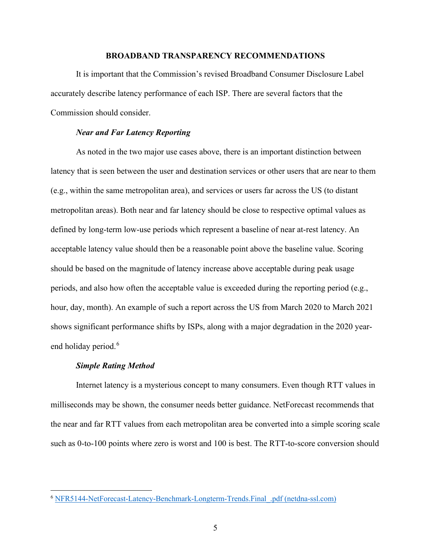## **BROADBAND TRANSPARENCY RECOMMENDATIONS**

It is important that the Commission's revised Broadband Consumer Disclosure Label accurately describe latency performance of each ISP. There are several factors that the Commission should consider.

#### *Near and Far Latency Reporting*

As noted in the two major use cases above, there is an important distinction between latency that is seen between the user and destination services or other users that are near to them (e.g., within the same metropolitan area), and services or users far across the US (to distant metropolitan areas). Both near and far latency should be close to respective optimal values as defined by long-term low-use periods which represent a baseline of near at-rest latency. An acceptable latency value should then be a reasonable point above the baseline value. Scoring should be based on the magnitude of latency increase above acceptable during peak usage periods, and also how often the acceptable value is exceeded during the reporting period (e.g., hour, day, month). An example of such a report across the US from March 2020 to March 2021 shows significant performance shifts by ISPs, along with a major degradation in the 2020 year-end holiday period.<sup>[6](#page-4-0)</sup>

### *Simple Rating Method*

Internet latency is a mysterious concept to many consumers. Even though RTT values in milliseconds may be shown, the consumer needs better guidance. NetForecast recommends that the near and far RTT values from each metropolitan area be converted into a simple scoring scale such as 0-to-100 points where zero is worst and 100 is best. The RTT-to-score conversion should

<span id="page-4-0"></span><sup>6</sup> [NFR5144-NetForecast-Latency-Benchmark-Longterm-Trends.Final\\_.pdf \(netdna-ssl.com\)](https://3x3mlw452gntzo50k33juqo1-wpengine.netdna-ssl.com/wp-content/uploads/NFR5144-NetForecast-Latency-Benchmark-Longterm-Trends.Final_.pdf)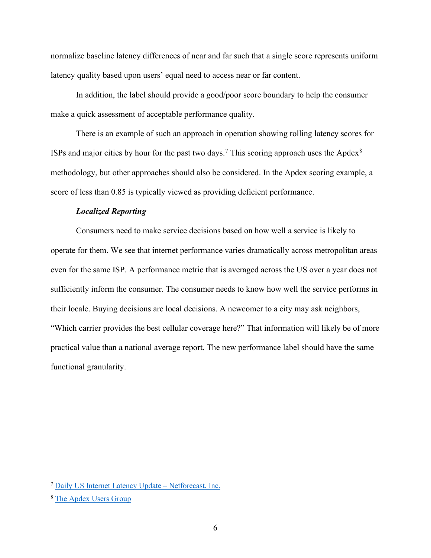normalize baseline latency differences of near and far such that a single score represents uniform latency quality based upon users' equal need to access near or far content.

In addition, the label should provide a good/poor score boundary to help the consumer make a quick assessment of acceptable performance quality.

There is an example of such an approach in operation showing rolling latency scores for ISPs and major cities by hour for the past two days.<sup>[7](#page-5-0)</sup> This scoring approach uses the Apdex<sup>[8](#page-5-1)</sup> methodology, but other approaches should also be considered. In the Apdex scoring example, a score of less than 0.85 is typically viewed as providing deficient performance.

# *Localized Reporting*

Consumers need to make service decisions based on how well a service is likely to operate for them. We see that internet performance varies dramatically across metropolitan areas even for the same ISP. A performance metric that is averaged across the US over a year does not sufficiently inform the consumer. The consumer needs to know how well the service performs in their locale. Buying decisions are local decisions. A newcomer to a city may ask neighbors, "Which carrier provides the best cellular coverage here?" That information will likely be of more practical value than a national average report. The new performance label should have the same functional granularity.

<span id="page-5-0"></span><sup>7</sup> [Daily US Internet Latency Update –](https://www.netforecast.com/daily-us-internet-latency-update/) Netforecast, Inc.

<span id="page-5-1"></span><sup>&</sup>lt;sup>8</sup> [The Apdex Users Group](https://www.apdex.org/)